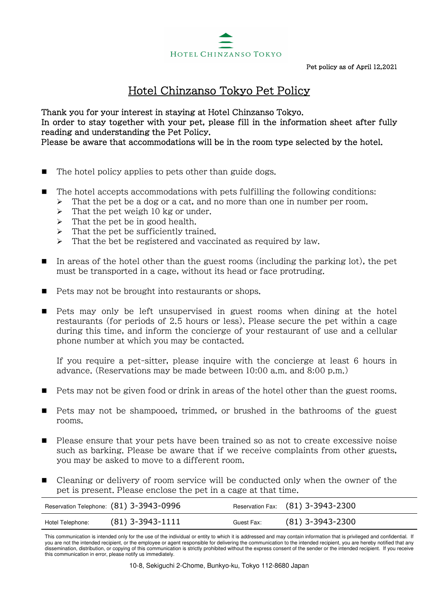

## Hotel Chinzanso Tokyo Pet Policy

Thank you for your interest in staying at Hotel Chinzanso Tokyo. In order to stay together with your pet, please fill in the information sheet after fully reading and understanding the Pet Policy. Please be aware that accommodations will be in the room type selected by the hotel.

- $\blacksquare$  The hotel policy applies to pets other than guide dogs.
- The hotel accepts accommodations with pets fulfilling the following conditions:  $\triangleright$  That the pet be a dog or a cat, and no more than one in number per room.
	- $\triangleright$  That the pet weigh 10 kg or under.
	- $\triangleright$  That the pet be in good health.
	- $\triangleright$  That the pet be sufficiently trained.
	- $\triangleright$  That the bet be registered and vaccinated as required by law.
- In areas of the hotel other than the guest rooms (including the parking lot), the pet must be transported in a cage, without its head or face protruding.
- $\blacksquare$  Pets may not be brought into restaurants or shops.
- Pets may only be left unsupervised in guest rooms when dining at the hotel restaurants (for periods of 2.5 hours or less). Please secure the pet within a cage during this time, and inform the concierge of your restaurant of use and a cellular phone number at which you may be contacted.

If you require a pet-sitter, please inquire with the concierge at least 6 hours in advance. (Reservations may be made between 10:00 a.m. and 8:00 p.m.)

- Pets may not be given food or drink in areas of the hotel other than the guest rooms.
- **Pets may not be shampooed, trimmed, or brushed in the bathrooms of the guest** rooms.
- Please ensure that your pets have been trained so as not to create excessive noise such as barking. Please be aware that if we receive complaints from other guests, you may be asked to move to a different room.
- Cleaning or delivery of room service will be conducted only when the owner of the pet is present. Please enclose the pet in a cage at that time.

|                  | Reservation Telephone: (81) 3-3943-0996 |            | Reservation Fax: (81) 3-3943-2300 |
|------------------|-----------------------------------------|------------|-----------------------------------|
| Hotel Telephone: | $(81)$ 3-3943-1111                      | Guest Fax: | $(81)$ 3-3943-2300                |

This communication is intended only for the use of the individual or entity to which it is addressed and may contain information that is privileged and confidential. If you are not the intended recipient, or the employee or agent responsible for delivering the communication to the intended recipient, you are hereby notified that any dissemination, distribution, or copying of this communication is strictly prohibited without the express consent of the sender or the intended recipient. If you receive this communication in error, please notify us immediately.